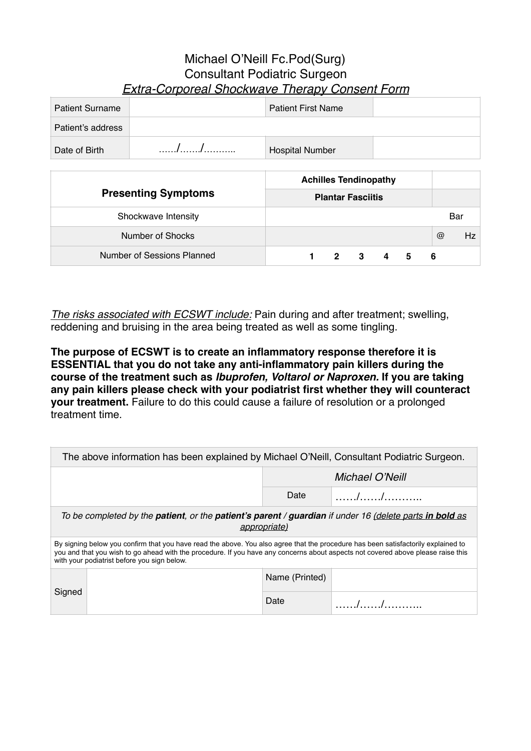## Michael O'Neill Fc.Pod(Surg) Consultant Podiatric Surgeon *Extra-Corporeal Shockwave Therapy Consent Form*

| <b>Patient Surname</b> | <b>Patient First Name</b> |  |
|------------------------|---------------------------|--|
| Patient's address      |                           |  |
| Date of Birth          | <b>Hospital Number</b>    |  |

|                            | <b>Achilles Tendinopathy</b> |                    |
|----------------------------|------------------------------|--------------------|
| <b>Presenting Symptoms</b> | <b>Plantar Fasciitis</b>     |                    |
| Shockwave Intensity        |                              | Bar                |
| Number of Shocks           |                              | $\circleda$<br>Hz. |
| Number of Sessions Planned | $2 \quad 3$<br>4<br>5<br>-6  |                    |

*The risks associated with ECSWT include:* Pain during and after treatment; swelling, reddening and bruising in the area being treated as well as some tingling.

**The purpose of ECSWT is to create an inflammatory response therefore it is ESSENTIAL that you do not take any anti-inflammatory pain killers during the course of the treatment such as** *Ibuprofen, Voltarol or Naproxen.* **If you are taking any pain killers please check with your podiatrist first whether they will counteract your treatment.** Failure to do this could cause a failure of resolution or a prolonged treatment time.

| The above information has been explained by Michael O'Neill, Consultant Podiatric Surgeon.                                                                                                                                                                                                                           |                                                                                                                                        |                |                 |  |  |  |  |  |  |
|----------------------------------------------------------------------------------------------------------------------------------------------------------------------------------------------------------------------------------------------------------------------------------------------------------------------|----------------------------------------------------------------------------------------------------------------------------------------|----------------|-----------------|--|--|--|--|--|--|
|                                                                                                                                                                                                                                                                                                                      |                                                                                                                                        |                | Michael O'Neill |  |  |  |  |  |  |
|                                                                                                                                                                                                                                                                                                                      |                                                                                                                                        | Date           |                 |  |  |  |  |  |  |
|                                                                                                                                                                                                                                                                                                                      | To be completed by the <b>patient</b> , or the <b>patient's parent</b> / guardian if under 16 (delete parts in bold as<br>appropriate) |                |                 |  |  |  |  |  |  |
| By signing below you confirm that you have read the above. You also agree that the procedure has been satisfactorily explained to<br>you and that you wish to go ahead with the procedure. If you have any concerns about aspects not covered above please raise this<br>with your podiatrist before you sign below. |                                                                                                                                        |                |                 |  |  |  |  |  |  |
| Signed                                                                                                                                                                                                                                                                                                               |                                                                                                                                        | Name (Printed) |                 |  |  |  |  |  |  |
|                                                                                                                                                                                                                                                                                                                      |                                                                                                                                        | Date           | $\sqrt{1}$      |  |  |  |  |  |  |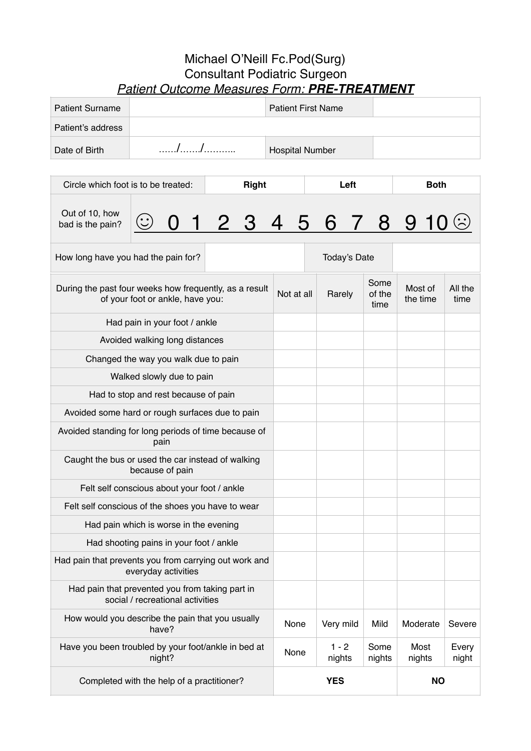## Michael O'Neill Fc.Pod(Surg) Consultant Podiatric Surgeon *Patient Outcome Measures Form: PRE-TREATMENT*

| <b>Patient Surname</b> | <b>Patient First Name</b> |  |
|------------------------|---------------------------|--|
| Patient's address      |                           |  |
| Date of Birth          | <b>Hospital Number</b>    |  |

| Circle which foot is to be treated:                                                        |                                      |  | <b>Right</b> |                         |                   | Left                   |                     | <b>Both</b>          |  |
|--------------------------------------------------------------------------------------------|--------------------------------------|--|--------------|-------------------------|-------------------|------------------------|---------------------|----------------------|--|
| Out of 10, how<br>bad is the pain?                                                         |                                      |  |              |                         |                   |                        |                     | 1 2 3 4 5 6 7 8 9 10 |  |
| How long have you had the pain for?                                                        |                                      |  |              | Today's Date            |                   |                        |                     |                      |  |
| During the past four weeks how frequently, as a result<br>of your foot or ankle, have you: |                                      |  | Not at all   |                         | Rarely            | Some<br>of the<br>time | Most of<br>the time | All the<br>time      |  |
|                                                                                            | Had pain in your foot / ankle        |  |              |                         |                   |                        |                     |                      |  |
|                                                                                            | Avoided walking long distances       |  |              |                         |                   |                        |                     |                      |  |
| Changed the way you walk due to pain                                                       |                                      |  |              |                         |                   |                        |                     |                      |  |
|                                                                                            | Walked slowly due to pain            |  |              |                         |                   |                        |                     |                      |  |
|                                                                                            | Had to stop and rest because of pain |  |              |                         |                   |                        |                     |                      |  |
| Avoided some hard or rough surfaces due to pain                                            |                                      |  |              |                         |                   |                        |                     |                      |  |
| Avoided standing for long periods of time because of                                       | pain                                 |  |              |                         |                   |                        |                     |                      |  |
| Caught the bus or used the car instead of walking                                          | because of pain                      |  |              |                         |                   |                        |                     |                      |  |
| Felt self conscious about your foot / ankle                                                |                                      |  |              |                         |                   |                        |                     |                      |  |
| Felt self conscious of the shoes you have to wear                                          |                                      |  |              |                         |                   |                        |                     |                      |  |
| Had pain which is worse in the evening                                                     |                                      |  |              |                         |                   |                        |                     |                      |  |
| Had shooting pains in your foot / ankle                                                    |                                      |  |              |                         |                   |                        |                     |                      |  |
| Had pain that prevents you from carrying out work and                                      | everyday activities                  |  |              |                         |                   |                        |                     |                      |  |
| Had pain that prevented you from taking part in<br>social / recreational activities        |                                      |  |              |                         |                   |                        |                     |                      |  |
| How would you describe the pain that you usually<br>have?                                  |                                      |  | None         |                         | Very mild         | Mild                   | Moderate            | Severe               |  |
| Have you been troubled by your foot/ankle in bed at<br>night?                              |                                      |  | None         |                         | $1 - 2$<br>nights | Some<br>nights         | Most<br>nights      | Every<br>night       |  |
| Completed with the help of a practitioner?                                                 |                                      |  |              | <b>YES</b><br><b>NO</b> |                   |                        |                     |                      |  |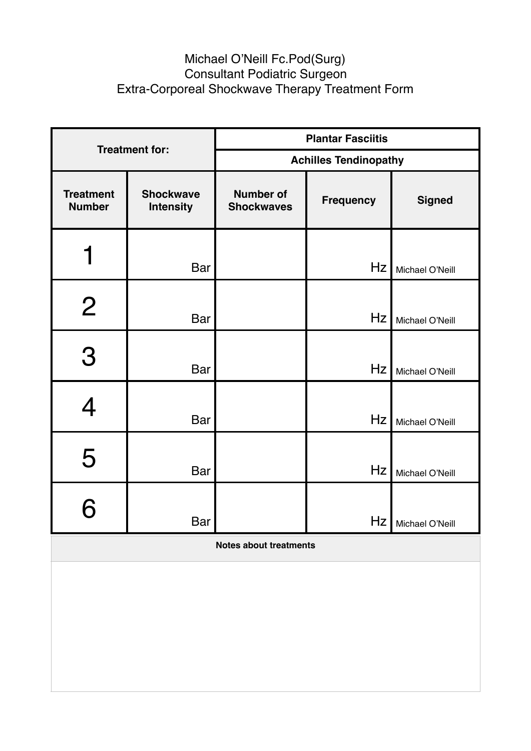## Michael O'Neill Fc.Pod(Surg) Consultant Podiatric Surgeon Extra-Corporeal Shockwave Therapy Treatment Form

| <b>Treatment for:</b>             |                                      | <b>Plantar Fasciitis</b>              |                  |                 |  |  |  |
|-----------------------------------|--------------------------------------|---------------------------------------|------------------|-----------------|--|--|--|
|                                   |                                      | <b>Achilles Tendinopathy</b>          |                  |                 |  |  |  |
| <b>Treatment</b><br><b>Number</b> | <b>Shockwave</b><br><b>Intensity</b> | <b>Number of</b><br><b>Shockwaves</b> | <b>Frequency</b> | <b>Signed</b>   |  |  |  |
|                                   | <b>Bar</b>                           |                                       | Hz               | Michael O'Neill |  |  |  |
| $\overline{2}$                    | <b>Bar</b>                           |                                       | Hz               | Michael O'Neill |  |  |  |
| 3                                 | <b>Bar</b>                           |                                       | Hz               | Michael O'Neill |  |  |  |
|                                   | <b>Bar</b>                           |                                       | Hz               | Michael O'Neill |  |  |  |
| 5                                 | <b>Bar</b>                           |                                       | Hz               | Michael O'Neill |  |  |  |
|                                   | Bar                                  |                                       | Hz               | Michael O'Neill |  |  |  |

**Notes about treatments**